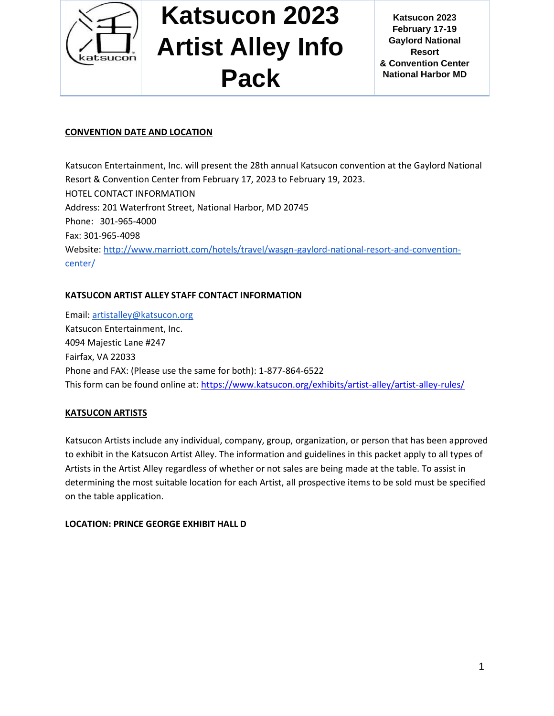

**Katsucon 2023 February 17-19 Gaylord National Resort & Convention Center National Harbor MD**

#### **CONVENTION DATE AND LOCATION**

Katsucon Entertainment, Inc. will present the 28th annual Katsucon convention at the Gaylord National Resort & Convention Center from February 17, 2023 to February 19, 2023. HOTEL CONTACT INFORMATION Address: 201 Waterfront Street, National Harbor, MD 20745 Phone: 301-965-4000 Fax: 301-965-4098 Website: [http://www.marriott.com/hotels/travel/wasgn-gaylord-national-resort-and-convention](http://www.marriott.com/hotels/travel/wasgn-gaylord-national-resort-and-convention-center/)[center/](http://www.marriott.com/hotels/travel/wasgn-gaylord-national-resort-and-convention-center/)

### **KATSUCON ARTIST ALLEY STAFF CONTACT INFORMATION**

Email: [artistalley@katsucon.org](mailto:artistalley@katsucon.org) Katsucon Entertainment, Inc. 4094 Majestic Lane #247 Fairfax, VA 22033 Phone and FAX: (Please use the same for both): 1-877-864-6522 This form can be found online at:<https://www.katsucon.org/exhibits/artist-alley/artist-alley-rules/>

#### **KATSUCON ARTISTS**

Katsucon Artists include any individual, company, group, organization, or person that has been approved to exhibit in the Katsucon Artist Alley. The information and guidelines in this packet apply to all types of Artists in the Artist Alley regardless of whether or not sales are being made at the table. To assist in determining the most suitable location for each Artist, all prospective items to be sold must be specified on the table application.

#### **LOCATION: PRINCE GEORGE EXHIBIT HALL D**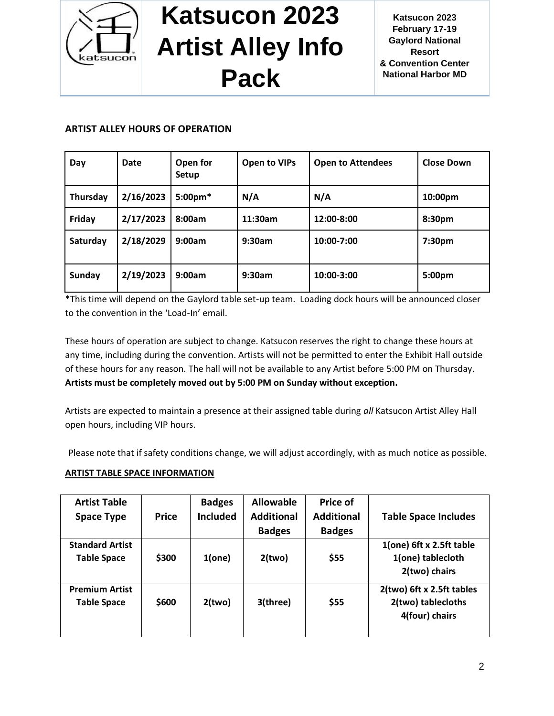

### **ARTIST ALLEY HOURS OF OPERATION**

| Day      | Date      | Open for<br>Setup | <b>Open to VIPs</b> | <b>Open to Attendees</b> | <b>Close Down</b>  |
|----------|-----------|-------------------|---------------------|--------------------------|--------------------|
| Thursday | 2/16/2023 | 5:00pm*           | N/A                 | N/A                      | 10:00pm            |
| Friday   | 2/17/2023 | 8:00am            | 11:30am             | 12:00-8:00               | 8:30pm             |
| Saturday | 2/18/2029 | 9:00am            | 9:30am              | 10:00-7:00               | 7:30 <sub>pm</sub> |
| Sunday   | 2/19/2023 | 9:00am            | 9:30am              | 10:00-3:00               | 5:00pm             |

\*This time will depend on the Gaylord table set-up team. Loading dock hours will be announced closer to the convention in the 'Load-In' email.

These hours of operation are subject to change. Katsucon reserves the right to change these hours at any time, including during the convention. Artists will not be permitted to enter the Exhibit Hall outside of these hours for any reason. The hall will not be available to any Artist before 5:00 PM on Thursday. **Artists must be completely moved out by 5:00 PM on Sunday without exception.**

Artists are expected to maintain a presence at their assigned table during *all* Katsucon Artist Alley Hall open hours, including VIP hours.

Please note that if safety conditions change, we will adjust accordingly, with as much notice as possible.

### **ARTIST TABLE SPACE INFORMATION**

| <b>Artist Table</b>                          |              | <b>Badges</b>   | <b>Allowable</b>  | <b>Price of</b>   |                                                                   |
|----------------------------------------------|--------------|-----------------|-------------------|-------------------|-------------------------------------------------------------------|
| <b>Space Type</b>                            | <b>Price</b> | <b>Included</b> | <b>Additional</b> | <b>Additional</b> | <b>Table Space Includes</b>                                       |
|                                              |              |                 | <b>Badges</b>     | <b>Badges</b>     |                                                                   |
| <b>Standard Artist</b><br><b>Table Space</b> | \$300        | 1(one)          | 2(two)            | \$55              | 1(one) 6ft x 2.5ft table<br>1(one) tablecloth<br>2(two) chairs    |
| <b>Premium Artist</b><br><b>Table Space</b>  | \$600        | 2(two)          | 3(three)          | \$55              | 2(two) 6ft x 2.5ft tables<br>2(two) tablecloths<br>4(four) chairs |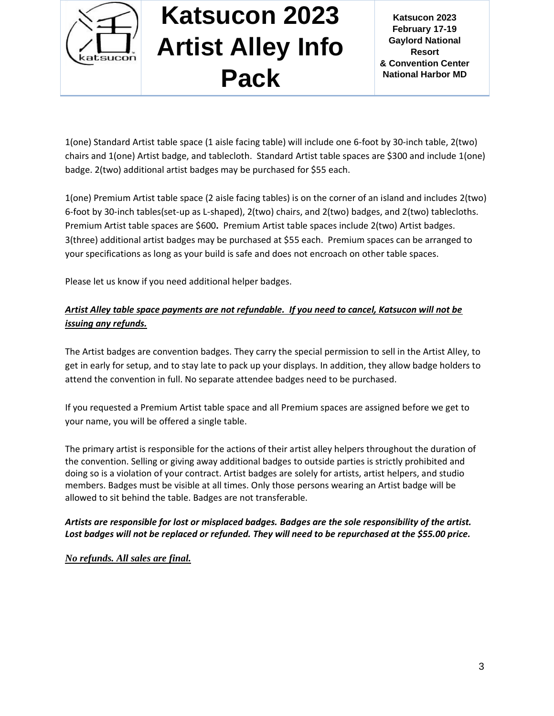

**Katsucon 2023 February 17-19 Gaylord National Resort & Convention Center National Harbor MD**

1(one) Standard Artist table space (1 aisle facing table) will include one 6-foot by 30-inch table, 2(two) chairs and 1(one) Artist badge, and tablecloth. Standard Artist table spaces are \$300 and include 1(one) badge. 2(two) additional artist badges may be purchased for \$55 each.

1(one) Premium Artist table space (2 aisle facing tables) is on the corner of an island and includes 2(two) 6-foot by 30-inch tables(set-up as L-shaped), 2(two) chairs, and 2(two) badges, and 2(two) tablecloths. Premium Artist table spaces are \$600**.** Premium Artist table spaces include 2(two) Artist badges. 3(three) additional artist badges may be purchased at \$55 each. Premium spaces can be arranged to your specifications as long as your build is safe and does not encroach on other table spaces.

Please let us know if you need additional helper badges.

### *Artist Alley table space payments are not refundable. If you need to cancel, Katsucon will not be issuing any refunds.*

The Artist badges are convention badges. They carry the special permission to sell in the Artist Alley, to get in early for setup, and to stay late to pack up your displays. In addition, they allow badge holders to attend the convention in full. No separate attendee badges need to be purchased.

If you requested a Premium Artist table space and all Premium spaces are assigned before we get to your name, you will be offered a single table.

The primary artist is responsible for the actions of their artist alley helpers throughout the duration of the convention. Selling or giving away additional badges to outside parties is strictly prohibited and doing so is a violation of your contract. Artist badges are solely for artists, artist helpers, and studio members. Badges must be visible at all times. Only those persons wearing an Artist badge will be allowed to sit behind the table. Badges are not transferable.

#### *Artists are responsible for lost or misplaced badges. Badges are the sole responsibility of the artist. Lost badges will not be replaced or refunded. They will need to be repurchased at the \$55.00 price.*

*No refunds. All sales are final.*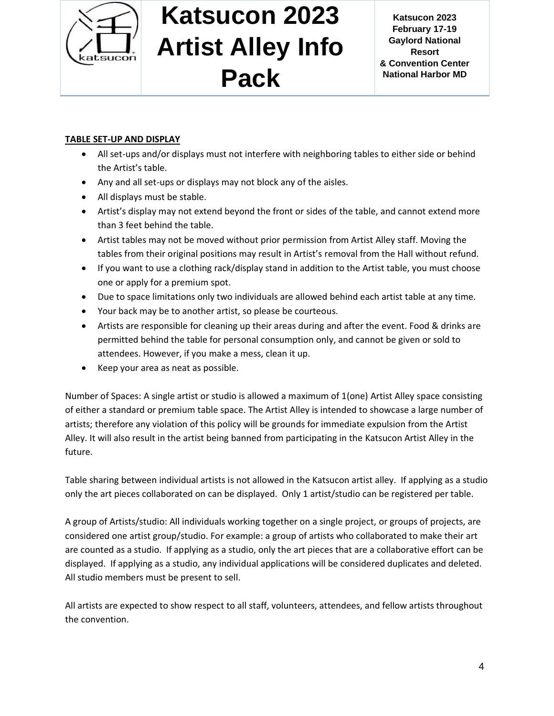

### **TABLE SET-UP AND DISPLAY**

- All set-ups and/or displays must not interfere with neighboring tables to either side or behind the Artist's table.
- Any and all set-ups or displays may not block any of the aisles.
- All displays must be stable.
- Artist's display may not extend beyond the front or sides of the table, and cannot extend more than 3 feet behind the table.
- Artist tables may not be moved without prior permission from Artist Alley staff. Moving the tables from their original positions may result in Artist's removal from the Hall without refund.
- If you want to use a clothing rack/display stand in addition to the Artist table, you must choose one or apply for a premium spot.
- Due to space limitations only two individuals are allowed behind each artist table at any time.
- Your back may be to another artist, so please be courteous.
- Artists are responsible for cleaning up their areas during and after the event. Food & drinks are permitted behind the table for personal consumption only, and cannot be given or sold to attendees. However, if you make a mess, clean it up.
- Keep your area as neat as possible.

Number of Spaces: A single artist or studio is allowed a maximum of 1(one) Artist Alley space consisting of either a standard or premium table space. The Artist Alley is intended to showcase a large number of artists; therefore any violation of this policy will be grounds for immediate expulsion from the Artist Alley. It will also result in the artist being banned from participating in the Katsucon Artist Alley in the future.

Table sharing between individual artists is not allowed in the Katsucon artist alley. If applying as a studio only the art pieces collaborated on can be displayed. Only 1 artist/studio can be registered per table.

A group of Artists/studio: All individuals working together on a single project, or groups of projects, are considered one artist group/studio. For example: a group of artists who collaborated to make their art are counted as a studio. If applying as a studio, only the art pieces that are a collaborative effort can be displayed. If applying as a studio, any individual applications will be considered duplicates and deleted. All studio members must be present to sell.

All artists are expected to show respect to all staff, volunteers, attendees, and fellow artists throughout the convention.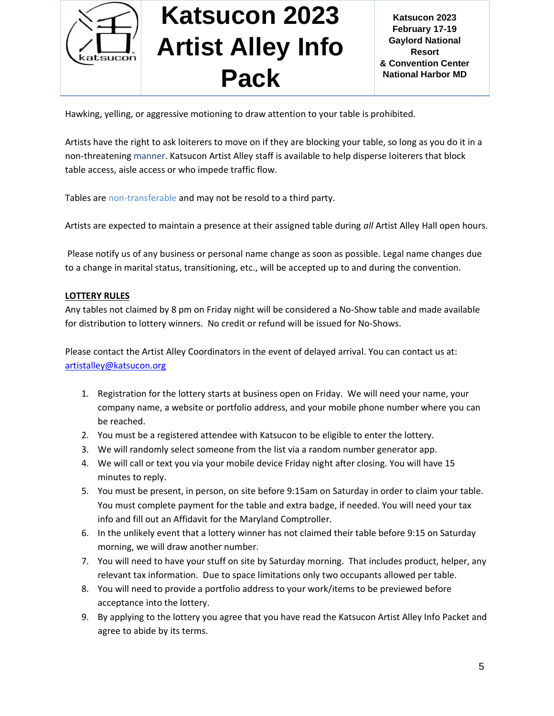

Hawking, yelling, or aggressive motioning to draw attention to your table is prohibited.

Artists have the right to ask loiterers to move on if they are blocking your table, so long as you do it in a non-threatening manner. Katsucon Artist Alley staff is available to help disperse loiterers that block table access, aisle access or who impede traffic flow.

Tables are non-transferable and may not be resold to a third party.

Artists are expected to maintain a presence at their assigned table during *all* Artist Alley Hall open hours.

Please notify us of any business or personal name change as soon as possible. Legal name changes due to a change in marital status, transitioning, etc., will be accepted up to and during the convention.

#### **LOTTERY RULES**

Any tables not claimed by 8 pm on Friday night will be considered a No-Show table and made available for distribution to lottery winners. No credit or refund will be issued for No-Shows.

Please contact the Artist Alley Coordinators in the event of delayed arrival. You can contact us at: [artistalley@katsucon.org](mailto:artistalley@katsucon.org)

- 1. Registration for the lottery starts at business open on Friday. We will need your name, your company name, a website or portfolio address, and your mobile phone number where you can be reached.
- 2. You must be a registered attendee with Katsucon to be eligible to enter the lottery.
- 3. We will randomly select someone from the list via a random number generator app.
- 4. We will call or text you via your mobile device Friday night after closing. You will have 15 minutes to reply.
- 5. You must be present, in person, on site before 9:15am on Saturday in order to claim your table. You must complete payment for the table and extra badge, if needed. You will need your tax info and fill out an Affidavit for the Maryland Comptroller.
- 6. In the unlikely event that a lottery winner has not claimed their table before 9:15 on Saturday morning, we will draw another number.
- 7. You will need to have your stuff on site by Saturday morning. That includes product, helper, any relevant tax information. Due to space limitations only two occupants allowed per table.
- 8. You will need to provide a portfolio address to your work/items to be previewed before acceptance into the lottery.
- 9. By applying to the lottery you agree that you have read the Katsucon Artist Alley Info Packet and agree to abide by its terms.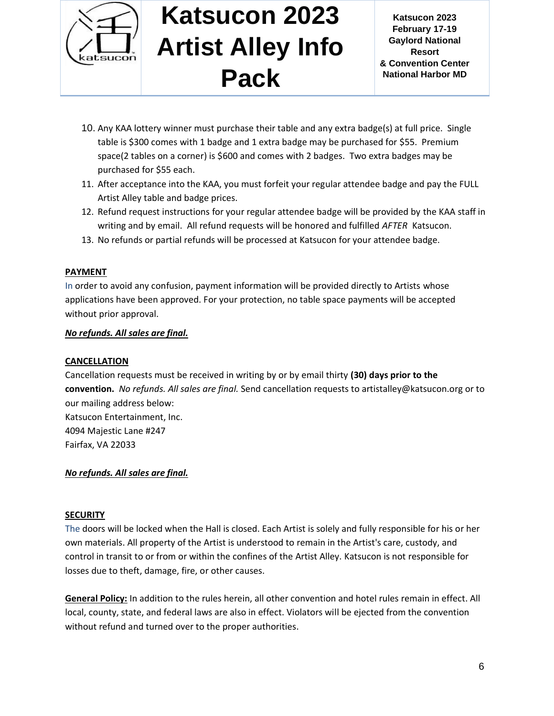

**Katsucon 2023 February 17-19 Gaylord National Resort & Convention Center National Harbor MD**

- 10. Any KAA lottery winner must purchase their table and any extra badge(s) at full price. Single table is \$300 comes with 1 badge and 1 extra badge may be purchased for \$55. Premium space(2 tables on a corner) is \$600 and comes with 2 badges. Two extra badges may be purchased for \$55 each.
- 11. After acceptance into the KAA, you must forfeit your regular attendee badge and pay the FULL Artist Alley table and badge prices.
- 12. Refund request instructions for your regular attendee badge will be provided by the KAA staff in writing and by email. All refund requests will be honored and fulfilled *AFTER* Katsucon.
- 13. No refunds or partial refunds will be processed at Katsucon for your attendee badge.

#### **PAYMENT**

In order to avoid any confusion, payment information will be provided directly to Artists whose applications have been approved. For your protection, no table space payments will be accepted without prior approval.

#### *No refunds. All sales are final.*

#### **CANCELLATION**

Cancellation requests must be received in writing by or by email thirty **(30) days prior to the convention.** *No refunds. All sales are final.* Send cancellation requests to artistalley@katsucon.org or to our mailing address below: Katsucon Entertainment, Inc. 4094 Majestic Lane #247 Fairfax, VA 22033

#### *No refunds. All sales are final.*

#### **SECURITY**

The doors will be locked when the Hall is closed. Each Artist is solely and fully responsible for his or her own materials. All property of the Artist is understood to remain in the Artist's care, custody, and control in transit to or from or within the confines of the Artist Alley. Katsucon is not responsible for losses due to theft, damage, fire, or other causes.

**General Policy:** In addition to the rules herein, all other convention and hotel rules remain in effect. All local, county, state, and federal laws are also in effect. Violators will be ejected from the convention without refund and turned over to the proper authorities.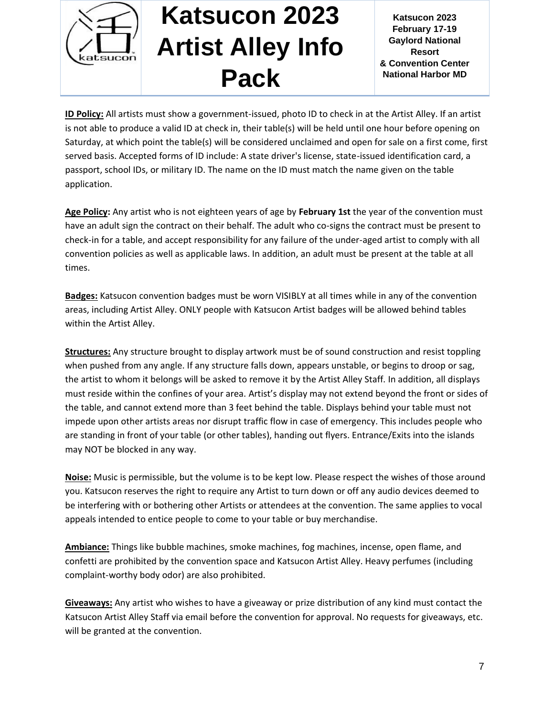

**Katsucon 2023 February 17-19 Gaylord National Resort & Convention Center National Harbor MD**

**ID Policy:** All artists must show a government-issued, photo ID to check in at the Artist Alley. If an artist is not able to produce a valid ID at check in, their table(s) will be held until one hour before opening on Saturday, at which point the table(s) will be considered unclaimed and open for sale on a first come, first served basis. Accepted forms of ID include: A state driver's license, state-issued identification card, a passport, school IDs, or military ID. The name on the ID must match the name given on the table application.

**Age Policy:** Any artist who is not eighteen years of age by **February 1st** the year of the convention must have an adult sign the contract on their behalf. The adult who co-signs the contract must be present to check-in for a table, and accept responsibility for any failure of the under-aged artist to comply with all convention policies as well as applicable laws. In addition, an adult must be present at the table at all times.

**Badges:** Katsucon convention badges must be worn VISIBLY at all times while in any of the convention areas, including Artist Alley. ONLY people with Katsucon Artist badges will be allowed behind tables within the Artist Alley.

**Structures:** Any structure brought to display artwork must be of sound construction and resist toppling when pushed from any angle. If any structure falls down, appears unstable, or begins to droop or sag, the artist to whom it belongs will be asked to remove it by the Artist Alley Staff. In addition, all displays must reside within the confines of your area. Artist's display may not extend beyond the front or sides of the table, and cannot extend more than 3 feet behind the table. Displays behind your table must not impede upon other artists areas nor disrupt traffic flow in case of emergency. This includes people who are standing in front of your table (or other tables), handing out flyers. Entrance/Exits into the islands may NOT be blocked in any way.

**Noise:** Music is permissible, but the volume is to be kept low. Please respect the wishes of those around you. Katsucon reserves the right to require any Artist to turn down or off any audio devices deemed to be interfering with or bothering other Artists or attendees at the convention. The same applies to vocal appeals intended to entice people to come to your table or buy merchandise.

**Ambiance:** Things like bubble machines, smoke machines, fog machines, incense, open flame, and confetti are prohibited by the convention space and Katsucon Artist Alley. Heavy perfumes (including complaint-worthy body odor) are also prohibited.

**Giveaways:** Any artist who wishes to have a giveaway or prize distribution of any kind must contact the Katsucon Artist Alley Staff via email before the convention for approval. No requests for giveaways, etc. will be granted at the convention.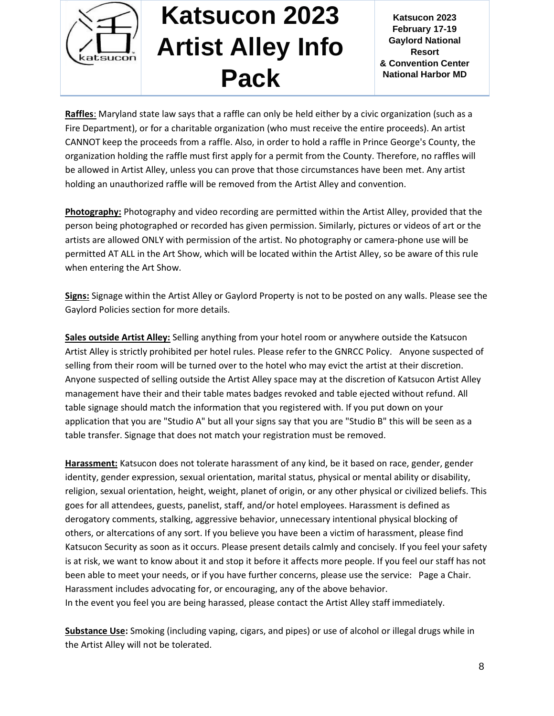

**Katsucon 2023 February 17-19 Gaylord National Resort & Convention Center National Harbor MD**

**Raffles**: Maryland state law says that a raffle can only be held either by a civic organization (such as a Fire Department), or for a charitable organization (who must receive the entire proceeds). An artist CANNOT keep the proceeds from a raffle. Also, in order to hold a raffle in Prince George's County, the organization holding the raffle must first apply for a permit from the County. Therefore, no raffles will be allowed in Artist Alley, unless you can prove that those circumstances have been met. Any artist holding an unauthorized raffle will be removed from the Artist Alley and convention.

**Photography:** Photography and video recording are permitted within the Artist Alley, provided that the person being photographed or recorded has given permission. Similarly, pictures or videos of art or the artists are allowed ONLY with permission of the artist. No photography or camera-phone use will be permitted AT ALL in the Art Show, which will be located within the Artist Alley, so be aware of this rule when entering the Art Show.

**Signs:** Signage within the Artist Alley or Gaylord Property is not to be posted on any walls. Please see the Gaylord Policies section for more details.

**Sales outside Artist Alley:** Selling anything from your hotel room or anywhere outside the Katsucon Artist Alley is strictly prohibited per hotel rules. Please refer to the GNRCC Policy. Anyone suspected of selling from their room will be turned over to the hotel who may evict the artist at their discretion. Anyone suspected of selling outside the Artist Alley space may at the discretion of Katsucon Artist Alley management have their and their table mates badges revoked and table ejected without refund. All table signage should match the information that you registered with. If you put down on your application that you are "Studio A" but all your signs say that you are "Studio B" this will be seen as a table transfer. Signage that does not match your registration must be removed.

**Harassment:** Katsucon does not tolerate harassment of any kind, be it based on race, gender, gender identity, gender expression, sexual orientation, marital status, physical or mental ability or disability, religion, sexual orientation, height, weight, planet of origin, or any other physical or civilized beliefs. This goes for all attendees, guests, panelist, staff, and/or hotel employees. Harassment is defined as derogatory comments, stalking, aggressive behavior, unnecessary intentional physical blocking of others, or altercations of any sort. If you believe you have been a victim of harassment, please find Katsucon Security as soon as it occurs. Please present details calmly and concisely. If you feel your safety is at risk, we want to know about it and stop it before it affects more people. If you feel our staff has not been able to meet your needs, or if you have further concerns, please use the service: Page a Chair. Harassment includes advocating for, or encouraging, any of the above behavior. In the event you feel you are being harassed, please contact the Artist Alley staff immediately.

**Substance Use:** Smoking (including vaping, cigars, and pipes) or use of alcohol or illegal drugs while in the Artist Alley will not be tolerated.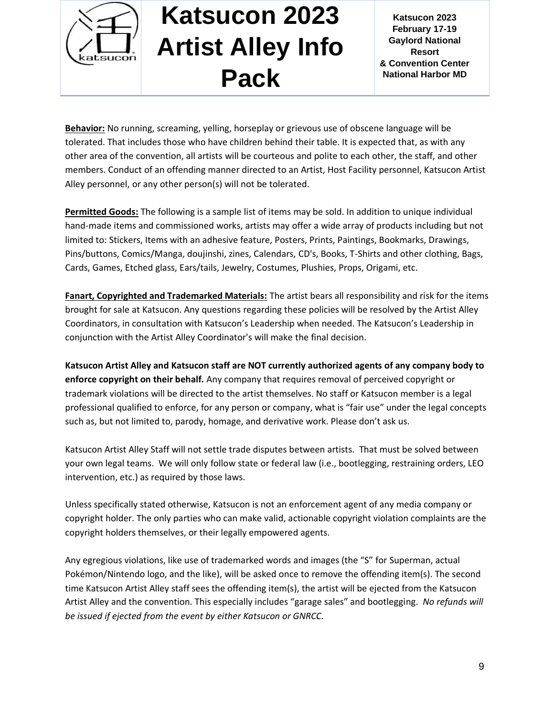

**Katsucon 2023 February 17-19 Gaylord National Resort & Convention Center National Harbor MD**

**Behavior:** No running, screaming, yelling, horseplay or grievous use of obscene language will be tolerated. That includes those who have children behind their table. It is expected that, as with any other area of the convention, all artists will be courteous and polite to each other, the staff, and other members. Conduct of an offending manner directed to an Artist, Host Facility personnel, Katsucon Artist Alley personnel, or any other person(s) will not be tolerated.

**Permitted Goods:** The following is a sample list of items may be sold. In addition to unique individual hand-made items and commissioned works, artists may offer a wide array of products including but not limited to: Stickers, Items with an adhesive feature, Posters, Prints, Paintings, Bookmarks, Drawings, Pins/buttons, Comics/Manga, doujinshi, zines, Calendars, CD's, Books, T-Shirts and other clothing, Bags, Cards, Games, Etched glass, Ears/tails, Jewelry, Costumes, Plushies, Props, Origami, etc.

**Fanart, Copyrighted and Trademarked Materials:** The artist bears all responsibility and risk for the items brought for sale at Katsucon. Any questions regarding these policies will be resolved by the Artist Alley Coordinators, in consultation with Katsucon's Leadership when needed. The Katsucon's Leadership in conjunction with the Artist Alley Coordinator's will make the final decision.

**Katsucon Artist Alley and Katsucon staff are NOT currently authorized agents of any company body to enforce copyright on their behalf.** Any company that requires removal of perceived copyright or trademark violations will be directed to the artist themselves. No staff or Katsucon member is a legal professional qualified to enforce, for any person or company, what is "fair use" under the legal concepts such as, but not limited to, parody, homage, and derivative work. Please don't ask us.

Katsucon Artist Alley Staff will not settle trade disputes between artists. That must be solved between your own legal teams. We will only follow state or federal law (i.e., bootlegging, restraining orders, LEO intervention, etc.) as required by those laws.

Unless specifically stated otherwise, Katsucon is not an enforcement agent of any media company or copyright holder. The only parties who can make valid, actionable copyright violation complaints are the copyright holders themselves, or their legally empowered agents.

Any egregious violations, like use of trademarked words and images (the "S" for Superman, actual Pokémon/Nintendo logo, and the like), will be asked once to remove the offending item(s). The second time Katsucon Artist Alley staff sees the offending item(s), the artist will be ejected from the Katsucon Artist Alley and the convention. This especially includes "garage sales" and bootlegging. *No refunds will be issued if ejected from the event by either Katsucon or GNRCC.*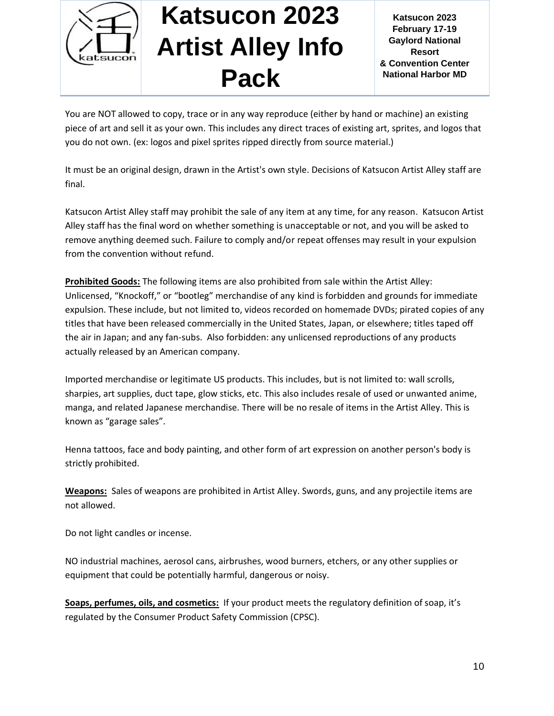

**Katsucon 2023 February 17-19 Gaylord National Resort & Convention Center National Harbor MD**

You are NOT allowed to copy, trace or in any way reproduce (either by hand or machine) an existing piece of art and sell it as your own. This includes any direct traces of existing art, sprites, and logos that you do not own. (ex: logos and pixel sprites ripped directly from source material.)

It must be an original design, drawn in the Artist's own style. Decisions of Katsucon Artist Alley staff are final.

Katsucon Artist Alley staff may prohibit the sale of any item at any time, for any reason. Katsucon Artist Alley staff has the final word on whether something is unacceptable or not, and you will be asked to remove anything deemed such. Failure to comply and/or repeat offenses may result in your expulsion from the convention without refund.

**Prohibited Goods:** The following items are also prohibited from sale within the Artist Alley: Unlicensed, "Knockoff," or "bootleg" merchandise of any kind is forbidden and grounds for immediate expulsion. These include, but not limited to, videos recorded on homemade DVDs; pirated copies of any titles that have been released commercially in the United States, Japan, or elsewhere; titles taped off the air in Japan; and any fan-subs. Also forbidden: any unlicensed reproductions of any products actually released by an American company.

Imported merchandise or legitimate US products. This includes, but is not limited to: wall scrolls, sharpies, art supplies, duct tape, glow sticks, etc. This also includes resale of used or unwanted anime, manga, and related Japanese merchandise. There will be no resale of items in the Artist Alley. This is known as "garage sales".

Henna tattoos, face and body painting, and other form of art expression on another person's body is strictly prohibited.

**Weapons:** Sales of weapons are prohibited in Artist Alley. Swords, guns, and any projectile items are not allowed.

Do not light candles or incense.

NO industrial machines, aerosol cans, airbrushes, wood burners, etchers, or any other supplies or equipment that could be potentially harmful, dangerous or noisy.

**Soaps, perfumes, oils, and cosmetics:** If your product meets the regulatory definition of soap, it's regulated by the Consumer Product Safety Commission (CPSC).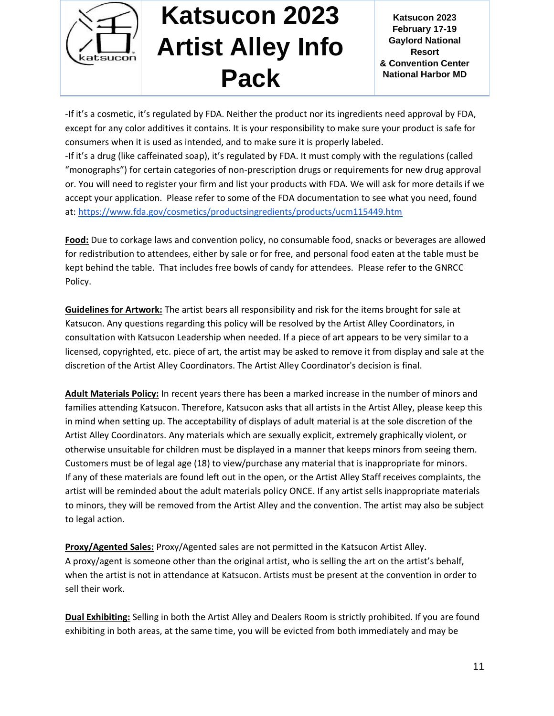

**Katsucon 2023 February 17-19 Gaylord National Resort & Convention Center National Harbor MD**

-If it's a cosmetic, it's regulated by FDA. Neither the product nor its ingredients need approval by FDA, except for any color additives it contains. It is your responsibility to make sure your product is safe for consumers when it is used as intended, and to make sure it is properly labeled.

-If it's a drug (like caffeinated soap), it's regulated by FDA. It must comply with the regulations (called "monographs") for certain categories of non-prescription drugs or requirements for new drug approval or. You will need to register your firm and list your products with FDA. We will ask for more details if we accept your application. Please refer to some of the FDA documentation to see what you need, found at:<https://www.fda.gov/cosmetics/productsingredients/products/ucm115449.htm>

**Food:** Due to corkage laws and convention policy, no consumable food, snacks or beverages are allowed for redistribution to attendees, either by sale or for free, and personal food eaten at the table must be kept behind the table. That includes free bowls of candy for attendees. Please refer to the GNRCC Policy.

**Guidelines for Artwork:** The artist bears all responsibility and risk for the items brought for sale at Katsucon. Any questions regarding this policy will be resolved by the Artist Alley Coordinators, in consultation with Katsucon Leadership when needed. If a piece of art appears to be very similar to a licensed, copyrighted, etc. piece of art, the artist may be asked to remove it from display and sale at the discretion of the Artist Alley Coordinators. The Artist Alley Coordinator's decision is final.

**Adult Materials Policy:** In recent years there has been a marked increase in the number of minors and families attending Katsucon. Therefore, Katsucon asks that all artists in the Artist Alley, please keep this in mind when setting up. The acceptability of displays of adult material is at the sole discretion of the Artist Alley Coordinators. Any materials which are sexually explicit, extremely graphically violent, or otherwise unsuitable for children must be displayed in a manner that keeps minors from seeing them. Customers must be of legal age (18) to view/purchase any material that is inappropriate for minors. If any of these materials are found left out in the open, or the Artist Alley Staff receives complaints, the artist will be reminded about the adult materials policy ONCE. If any artist sells inappropriate materials to minors, they will be removed from the Artist Alley and the convention. The artist may also be subject to legal action.

**Proxy/Agented Sales:** Proxy/Agented sales are not permitted in the Katsucon Artist Alley. A proxy/agent is someone other than the original artist, who is selling the art on the artist's behalf, when the artist is not in attendance at Katsucon. Artists must be present at the convention in order to sell their work.

**Dual Exhibiting:** Selling in both the Artist Alley and Dealers Room is strictly prohibited. If you are found exhibiting in both areas, at the same time, you will be evicted from both immediately and may be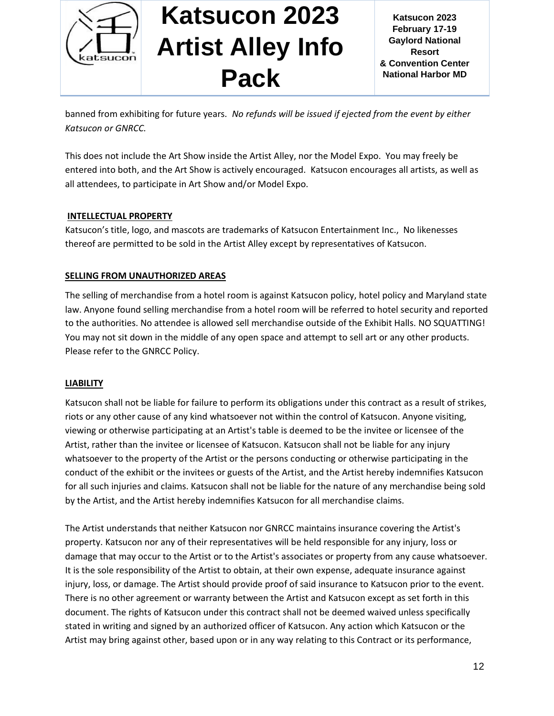

**Katsucon 2023 February 17-19 Gaylord National Resort & Convention Center National Harbor MD**

banned from exhibiting for future years. *No refunds will be issued if ejected from the event by either Katsucon or GNRCC.*

This does not include the Art Show inside the Artist Alley, nor the Model Expo. You may freely be entered into both, and the Art Show is actively encouraged. Katsucon encourages all artists, as well as all attendees, to participate in Art Show and/or Model Expo.

#### **INTELLECTUAL PROPERTY**

Katsucon's title, logo, and mascots are trademarks of Katsucon Entertainment Inc., No likenesses thereof are permitted to be sold in the Artist Alley except by representatives of Katsucon.

#### **SELLING FROM UNAUTHORIZED AREAS**

The selling of merchandise from a hotel room is against Katsucon policy, hotel policy and Maryland state law. Anyone found selling merchandise from a hotel room will be referred to hotel security and reported to the authorities. No attendee is allowed sell merchandise outside of the Exhibit Halls. NO SQUATTING! You may not sit down in the middle of any open space and attempt to sell art or any other products. Please refer to the GNRCC Policy.

#### **LIABILITY**

Katsucon shall not be liable for failure to perform its obligations under this contract as a result of strikes, riots or any other cause of any kind whatsoever not within the control of Katsucon. Anyone visiting, viewing or otherwise participating at an Artist's table is deemed to be the invitee or licensee of the Artist, rather than the invitee or licensee of Katsucon. Katsucon shall not be liable for any injury whatsoever to the property of the Artist or the persons conducting or otherwise participating in the conduct of the exhibit or the invitees or guests of the Artist, and the Artist hereby indemnifies Katsucon for all such injuries and claims. Katsucon shall not be liable for the nature of any merchandise being sold by the Artist, and the Artist hereby indemnifies Katsucon for all merchandise claims.

The Artist understands that neither Katsucon nor GNRCC maintains insurance covering the Artist's property. Katsucon nor any of their representatives will be held responsible for any injury, loss or damage that may occur to the Artist or to the Artist's associates or property from any cause whatsoever. It is the sole responsibility of the Artist to obtain, at their own expense, adequate insurance against injury, loss, or damage. The Artist should provide proof of said insurance to Katsucon prior to the event. There is no other agreement or warranty between the Artist and Katsucon except as set forth in this document. The rights of Katsucon under this contract shall not be deemed waived unless specifically stated in writing and signed by an authorized officer of Katsucon. Any action which Katsucon or the Artist may bring against other, based upon or in any way relating to this Contract or its performance,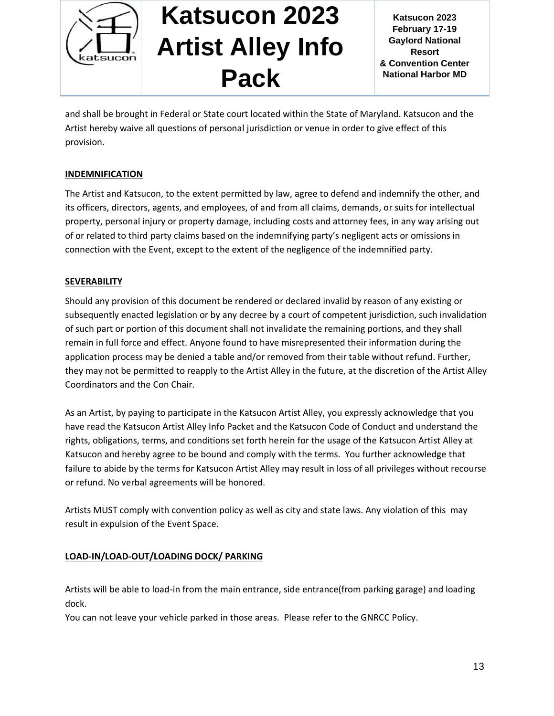

**Katsucon 2023 February 17-19 Gaylord National Resort & Convention Center National Harbor MD**

and shall be brought in Federal or State court located within the State of Maryland. Katsucon and the Artist hereby waive all questions of personal jurisdiction or venue in order to give effect of this provision.

### **INDEMNIFICATION**

The Artist and Katsucon, to the extent permitted by law, agree to defend and indemnify the other, and its officers, directors, agents, and employees, of and from all claims, demands, or suits for intellectual property, personal injury or property damage, including costs and attorney fees, in any way arising out of or related to third party claims based on the indemnifying party's negligent acts or omissions in connection with the Event, except to the extent of the negligence of the indemnified party.

#### **SEVERABILITY**

Should any provision of this document be rendered or declared invalid by reason of any existing or subsequently enacted legislation or by any decree by a court of competent jurisdiction, such invalidation of such part or portion of this document shall not invalidate the remaining portions, and they shall remain in full force and effect. Anyone found to have misrepresented their information during the application process may be denied a table and/or removed from their table without refund. Further, they may not be permitted to reapply to the Artist Alley in the future, at the discretion of the Artist Alley Coordinators and the Con Chair.

As an Artist, by paying to participate in the Katsucon Artist Alley, you expressly acknowledge that you have read the Katsucon Artist Alley Info Packet and the Katsucon Code of Conduct and understand the rights, obligations, terms, and conditions set forth herein for the usage of the Katsucon Artist Alley at Katsucon and hereby agree to be bound and comply with the terms. You further acknowledge that failure to abide by the terms for Katsucon Artist Alley may result in loss of all privileges without recourse or refund. No verbal agreements will be honored.

Artists MUST comply with convention policy as well as city and state laws. Any violation of this may result in expulsion of the Event Space.

### **LOAD-IN/LOAD-OUT/LOADING DOCK/ PARKING**

Artists will be able to load-in from the main entrance, side entrance(from parking garage) and loading dock.

You can not leave your vehicle parked in those areas. Please refer to the GNRCC Policy.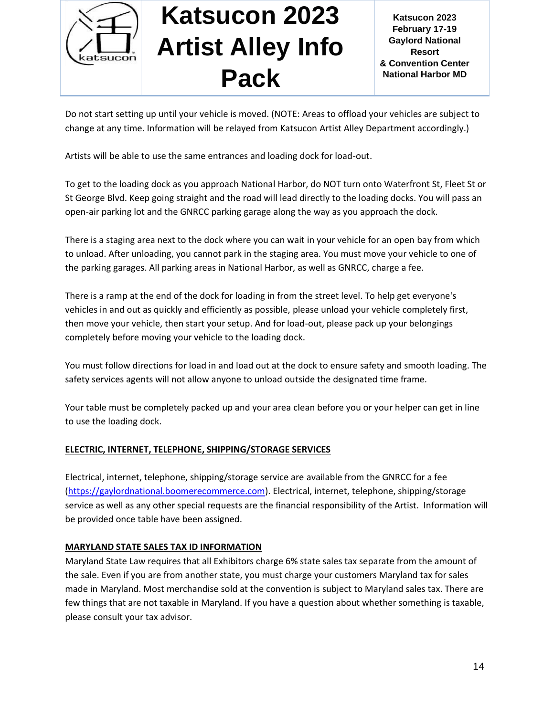

Do not start setting up until your vehicle is moved. (NOTE: Areas to offload your vehicles are subject to change at any time. Information will be relayed from Katsucon Artist Alley Department accordingly.)

Artists will be able to use the same entrances and loading dock for load-out.

To get to the loading dock as you approach National Harbor, do NOT turn onto Waterfront St, Fleet St or St George Blvd. Keep going straight and the road will lead directly to the loading docks. You will pass an open-air parking lot and the GNRCC parking garage along the way as you approach the dock.

There is a staging area next to the dock where you can wait in your vehicle for an open bay from which to unload. After unloading, you cannot park in the staging area. You must move your vehicle to one of the parking garages. All parking areas in National Harbor, as well as GNRCC, charge a fee.

There is a ramp at the end of the dock for loading in from the street level. To help get everyone's vehicles in and out as quickly and efficiently as possible, please unload your vehicle completely first, then move your vehicle, then start your setup. And for load-out, please pack up your belongings completely before moving your vehicle to the loading dock.

You must follow directions for load in and load out at the dock to ensure safety and smooth loading. The safety services agents will not allow anyone to unload outside the designated time frame.

Your table must be completely packed up and your area clean before you or your helper can get in line to use the loading dock.

### **ELECTRIC, INTERNET, TELEPHONE, SHIPPING/STORAGE SERVICES**

Electrical, internet, telephone, shipping/storage service are available from the GNRCC for a fee [\(https://gaylordnational.boomerecommerce.com\)](https://gaylordnational.boomerecommerce.com/). Electrical, internet, telephone, shipping/storage service as well as any other special requests are the financial responsibility of the Artist. Information will be provided once table have been assigned.

#### **MARYLAND STATE SALES TAX ID INFORMATION**

Maryland State Law requires that all Exhibitors charge 6% state sales tax separate from the amount of the sale. Even if you are from another state, you must charge your customers Maryland tax for sales made in Maryland. Most merchandise sold at the convention is subject to Maryland sales tax. There are few things that are not taxable in Maryland. If you have a question about whether something is taxable, please consult your tax advisor.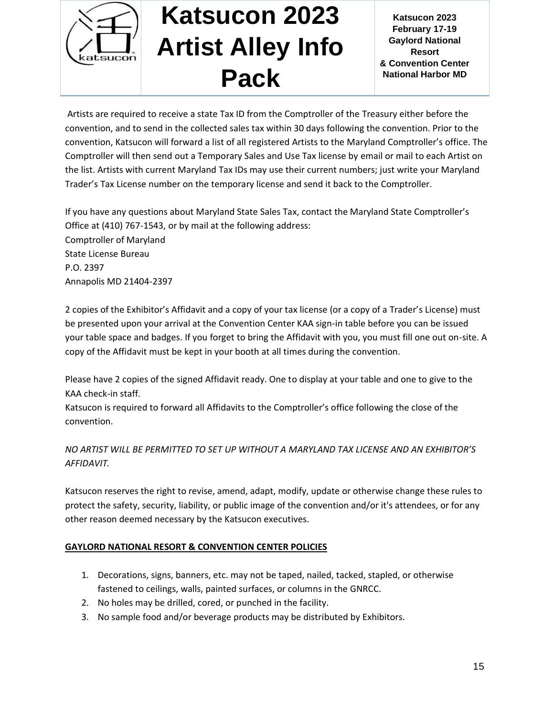

**Katsucon 2023 February 17-19 Gaylord National Resort & Convention Center National Harbor MD**

Artists are required to receive a state Tax ID from the Comptroller of the Treasury either before the convention, and to send in the collected sales tax within 30 days following the convention. Prior to the convention, Katsucon will forward a list of all registered Artists to the Maryland Comptroller's office. The Comptroller will then send out a Temporary Sales and Use Tax license by email or mail to each Artist on the list. Artists with current Maryland Tax IDs may use their current numbers; just write your Maryland Trader's Tax License number on the temporary license and send it back to the Comptroller.

If you have any questions about Maryland State Sales Tax, contact the Maryland State Comptroller's Office at (410) 767-1543, or by mail at the following address: Comptroller of Maryland State License Bureau P.O. 2397 Annapolis MD 21404-2397

2 copies of the Exhibitor's Affidavit and a copy of your tax license (or a copy of a Trader's License) must be presented upon your arrival at the Convention Center KAA sign-in table before you can be issued your table space and badges. If you forget to bring the Affidavit with you, you must fill one out on-site. A copy of the Affidavit must be kept in your booth at all times during the convention.

Please have 2 copies of the signed Affidavit ready. One to display at your table and one to give to the KAA check-in staff.

Katsucon is required to forward all Affidavits to the Comptroller's office following the close of the convention.

### *NO ARTIST WILL BE PERMITTED TO SET UP WITHOUT A MARYLAND TAX LICENSE AND AN EXHIBITOR'S AFFIDAVIT.*

Katsucon reserves the right to revise, amend, adapt, modify, update or otherwise change these rules to protect the safety, security, liability, or public image of the convention and/or it's attendees, or for any other reason deemed necessary by the Katsucon executives.

### **GAYLORD NATIONAL RESORT & CONVENTION CENTER POLICIES**

- 1. Decorations, signs, banners, etc. may not be taped, nailed, tacked, stapled, or otherwise fastened to ceilings, walls, painted surfaces, or columns in the GNRCC.
- 2. No holes may be drilled, cored, or punched in the facility.
- 3. No sample food and/or beverage products may be distributed by Exhibitors.